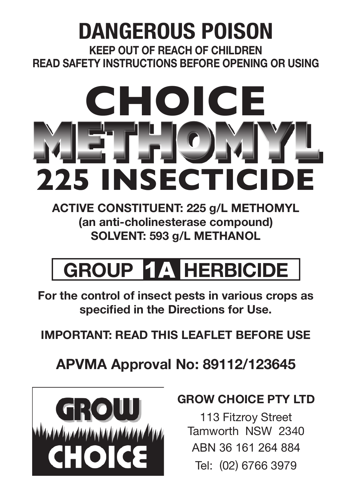## **DANGEROUS POISON**

**KEEP OUT OF REACH OF CHILDREN READ SAFETY INSTRUCTIONS BEFORE OPENING OR USING**

# **225 INSECTICIDE CHOICE METHOMYL**

**ACTIVE CONSTITUENT: 225 g/L METHOMYL (an anti-cholinesterase compound) SOLVENT: 593 g/L METHANOL**

# **GROUP** 1A **HERBICIDE**

**For the control of insect pests in various crops as specified in the Directions for Use.**

**IMPORTANT: READ THIS LEAFLET BEFORE USE** 

## **APVMA Approval No: 89112/123645**



#### **GROW CHOICE PTY LTD**

113 Fitzroy Street Tamworth NSW 2340 ABN 36 161 264 884 Tel: (02) 6766 3979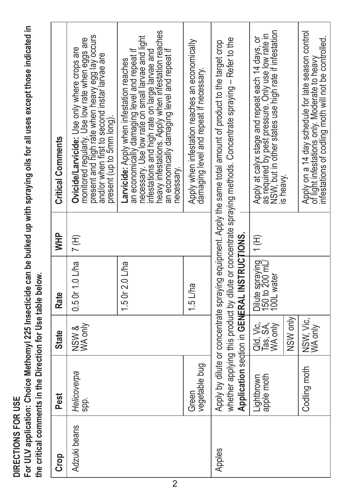DIRECTIONS FOR USE **DIRECTIONS FOR USE**

For ULV application: Choice Methomyl 225 Insecticide can be bulked up with spraying oils for all uses except those indicated in<br>the critical comments in the Direction for Use table below. **For ULV application: Choice Methomyl 225 Insecticide can be bulked up with spraying oils for all uses except those indicated in the critical comments in the Direction for Use table below.**

| <b>Grop</b>  | Pest                     | <b>State</b>                  | Rate                                            | <b>WHP</b> | <b>Critical Comments</b>                                                                                                                                                                                                                                                                                            |
|--------------|--------------------------|-------------------------------|-------------------------------------------------|------------|---------------------------------------------------------------------------------------------------------------------------------------------------------------------------------------------------------------------------------------------------------------------------------------------------------------------|
| Adzuki beans | Helicoverpa<br>SP.       | NSW &<br>WA only              | 0.50r1.0Lha                                     | $\sqrt{H}$ | monitored regularly. Use low rate when eggs are<br>present and high rate when heavy egg lay occurs<br>and/or when first to second instar larvae are<br>Ovicide/Larvicide: Use only where crops are<br>present (up to 5mm long).                                                                                     |
|              |                          |                               | 1.5 Or 2.0 L/ha                                 |            | neavy infestations. Apply when infestation reaches<br>necessary. Use low rate on small larvae and light<br>an economically damaging level and repeat if<br>an economically damaging level and repeat if<br>nfestations and high rate on large larvae and<br>Larvicide: Apply when infestation reaches<br>necessary. |
|              | vegetable bug<br>Green   |                               | $1.5$ L/ha                                      |            | Apply when infestation reaches an economically<br>damaging level and repeat if necessary.                                                                                                                                                                                                                           |
| Apples       |                          |                               | Application section in GENERAL INSTRUCTIONS.    |            | whether applying this product by dilute or concentrate spraying methods. Concentrate spraying – Refer to the<br>Apply by dilute or concentrate spraying equipment. Apply the same total amount of product to the target crop                                                                                        |
|              | Lightbrown<br>apple moth | Old, Vie<br>Tas SA<br>WA only | Dilute spraying<br>150 to 200 mL/<br>100L water | T)         | as required by pest pressure. Only use low rate in<br>NSW, but in other states use high rate if infestation<br>Apply at calyx stage and repeat each 14 days, or                                                                                                                                                     |
|              |                          | NSW only                      |                                                 |            | is heavy.                                                                                                                                                                                                                                                                                                           |
|              | Codling moth             | NSW, Vic,                     |                                                 |            | Apply on a 14 day schedule for late season control<br>intestations of codling moth will not be controlled.<br>of light infestations only. Moderate to heavy                                                                                                                                                         |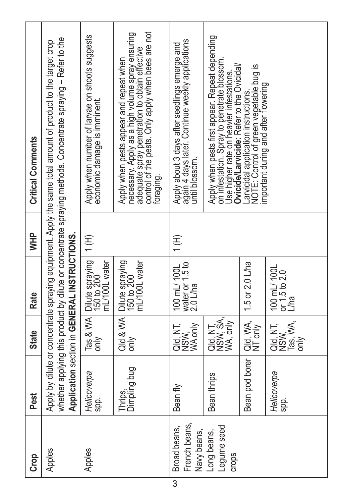| Crop                                         | Pest                    | State                                     | Rate                                           | <b>HHD</b> | <b>Critical Comments</b>                                                                                                                                                                                                     |
|----------------------------------------------|-------------------------|-------------------------------------------|------------------------------------------------|------------|------------------------------------------------------------------------------------------------------------------------------------------------------------------------------------------------------------------------------|
|                                              |                         |                                           | Application section in GENERAL INSTRUCTIONS.   |            | whether applying this product by dilute or concentrate spraying methods. Concentrate spraying - Refer to the<br>Apply by dilute or concentrate spraying equipment. Apply the same total amount of product to the target crop |
| Apples                                       | Helicoverpa<br>Spp.     | Tas & WA<br>only                          | Dilute spraying<br>150 to 200<br>mL/100L water | 1(H)       | Apply when number of larvae on shoots suggests<br>economic damage is imminent.                                                                                                                                               |
|                                              | Dimpling bug<br>Thrips, | Qld & WA<br>only                          | Dilute spraying<br>150 to 200<br>mL/100L water |            | control of the pests. Only apply when bees are not<br>necessary. Apply as a high volume spray ensuring<br>adequate spray penetration to obtain effective<br>Apply when pests appear and repeat when<br>foraging.             |
| French beans,<br>Broad beans,<br>Navy beans, | Bean fly                | RE<br>NSW<br>WA only                      | water or 1.5 to<br>2.0 L/ha<br>100 mL/ 100L    | (H)        | Apply about 3 days after seedlings emerge and<br>again 4 days later. Continue weekly applications<br>until blossom.                                                                                                          |
| Legume seed<br>Long beans,                   | Bean thrips             | QId, NT,<br>NSW, SA,<br>WA, only          |                                                |            | Apply when pests first appear. Repeat depending<br>on infestation. Spray to penetrate blossom<br>Jse higher rate on heavier infestations.<br><b>Ovicide/Larvicide:</b> Refer to the Ovicidal/                                |
|                                              | Bean pod borer          | Qld, WA,<br>NT only                       | 1.5 or 2.0 L/ha                                |            | Larvicidal application instructions.<br>NOTE: Control of green vegetable bug is<br>important during and after flowering                                                                                                      |
|                                              | Helicoverpa<br>spp.     | QId, NT<br>NSW<br>NSW<br>Tas, WA,<br>only | 100 mL/ 100L<br>or 1.5 to 2.0<br>L/ha          |            |                                                                                                                                                                                                                              |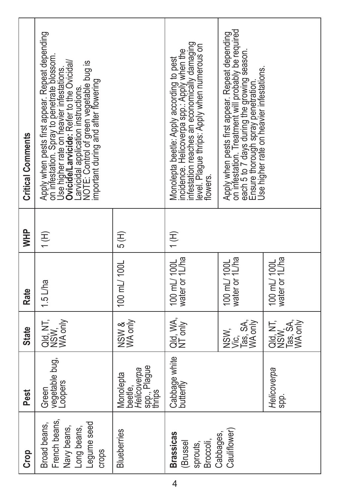| Crop                                                                       | Pest                                                            | <b>State</b>                        | <b>Rate</b>                    | <b>THM</b> | <b>Critical Comments</b>                                                                                                                                                                                                                                                                                                 |
|----------------------------------------------------------------------------|-----------------------------------------------------------------|-------------------------------------|--------------------------------|------------|--------------------------------------------------------------------------------------------------------------------------------------------------------------------------------------------------------------------------------------------------------------------------------------------------------------------------|
| French beans,<br>Legume seed<br>Broad beans,<br>Navy beans,<br>Long beans, | vegetable bug,<br>-oopers<br>Green                              | Qld, NT,<br>NSW, only<br>WA only    | 1.5 L/ha                       | 〔H         | Apply when pests first appear. Repeat depending<br>on infestation. Spray to penetrate blossom<br>Jse higher rate on heavier infestations.<br><b>Dvicide/Larvicide:</b> Refer to the Ovicidal/<br>Larvicidal application instructions.<br>NOTE: Control of green vegetable bug is<br>important during and after flowering |
| <b>Blueberries</b>                                                         | spp., Plague<br>  thrips<br>Helicoverpa<br>Monolepta<br>beetle, | NSW &<br>WA only                    | 100 mL/ 100L                   | 5 (H)      |                                                                                                                                                                                                                                                                                                                          |
| <b>Brassicas</b><br>Broccoli,<br>(Brussel<br>sprouts,                      | Cabbage white<br>butterfly                                      | Qld, WA,<br>NT only                 | water or 1L/ha<br>100 mL/ 100L | (H)        | nfestation reaches an economically damaging<br>evel. Plague thrips: Apply when numerous on<br>incidence. Helicoverpa spp.: Apply when the<br>Monolepta beetle: Apply according to pest<br>lowers.                                                                                                                        |
| Cauliflower)<br>Cabbages,                                                  |                                                                 | Vic,<br>Tas, SA,<br>WA only<br>NSW. | water or 1L/ha<br>100 mL/ 100L |            | on infestation. Treatment will probably be required<br>Apply when pests first appear. Repeat depending<br>each 5 to 7 days during the growing season:<br>Ensure thorough spray penetration.<br>Use higher rate on heavier infestations.                                                                                  |
|                                                                            | Helicoverpa<br>spp.                                             | 98<br>Paris<br>Dansk                | water or 1L/ha<br>100 mL/ 100L |            |                                                                                                                                                                                                                                                                                                                          |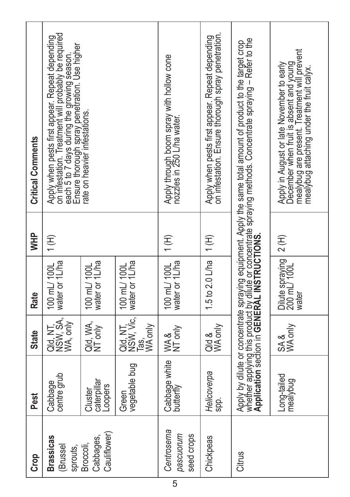| Crop                                           | Pest                              | <b>State</b>                             | <b>Rate</b>                              | <b>HHM</b>    | <b>Critical Comments</b>                                                                                                                                                                                                                 |
|------------------------------------------------|-----------------------------------|------------------------------------------|------------------------------------------|---------------|------------------------------------------------------------------------------------------------------------------------------------------------------------------------------------------------------------------------------------------|
| <b>Brassicas</b><br><b>Brussel</b><br>sprouts, | centre grub<br>Cabbage            | Qld, NT,<br>NSW, SA, L<br>WA, only       | water or 1L/ha<br>100 mL/ 100L           | 〔H            | on infestation. Treatment will probably be required<br>Apply when pests first appear. Repeat depending<br>each 5 to 7 days during the growing season.'<br>Ensure thorough spray penetration. Use higher<br>rate on heavier infestations. |
| Cauliflower)<br>Cabbages,<br>Broccoli,         | caterpillar<br>Loopers<br>Cluster | Qld, WA,<br>NT only                      | water or 1L/ha<br>100 mL/ 100L           |               |                                                                                                                                                                                                                                          |
|                                                | vegetable bug<br>Green            | Qld, NT,<br>NSW, Vic,<br>Tas,<br>WA only | water or 1L/ha<br>100 mL/ 100L           |               |                                                                                                                                                                                                                                          |
| Centrosema<br>pascuorum<br>seed crops          | Cabbage white<br>butterfly        | WA &<br>NT only                          | water or 1L/ha<br>100 mL/ 100L           | 〔H)           | Apply through boom spray with hollow cone<br>nozzles in 250 L/ha water.                                                                                                                                                                  |
| Chickpeas                                      | Helicoverpa<br>spp.               | Qld &<br>WA only                         | 1.5 to 2.0 L/ha                          | $\frac{1}{1}$ | on infestation. Ensure thorough spray penetration.<br>Apply when pests first appear. Repeat depending                                                                                                                                    |
| Citrus                                         |                                   |                                          |                                          |               | Apply by dilute or concentrate spraying equipment. Apply the same total amount of product to the target crop<br>whether applying this product by dilute or concentrate spraying methods. Concentrate spraying – Refer to the<br>Appl     |
|                                                | Long-tailed<br>mealybug           | SA &<br>WA only                          | Dilute spraying<br>200 mL/ 100L<br>water | 2(H)          | mealybug are present. Treatment will prevent<br>mealybug attaching under the fruit calyx.<br>December when fruit is absent and young<br>Apply in August or late November to early                                                        |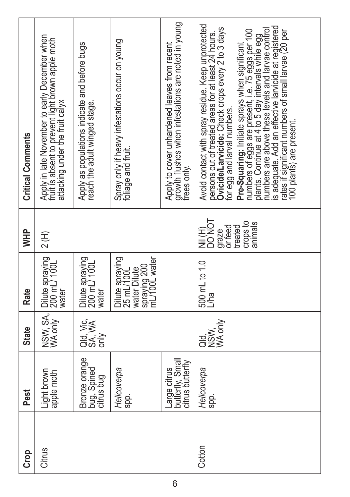| Crop   | Pest                                                 | <b>State</b>                | Rate                                                                           | <b>HIM</b>                                                                  | <b>Critical Comments</b>                                                                                                                                                                                                                                                                                                                                                                                                                                                                                                                                   |
|--------|------------------------------------------------------|-----------------------------|--------------------------------------------------------------------------------|-----------------------------------------------------------------------------|------------------------------------------------------------------------------------------------------------------------------------------------------------------------------------------------------------------------------------------------------------------------------------------------------------------------------------------------------------------------------------------------------------------------------------------------------------------------------------------------------------------------------------------------------------|
| Citrus | Light brown<br>apple moth                            | NSW, SA,                    | Dilute spraying<br>water                                                       | 2 (H)                                                                       | Apply in late November to early December when<br>fruit is absent to prevent light brown apple moth<br>attacking under the fruit calyx                                                                                                                                                                                                                                                                                                                                                                                                                      |
|        | Bronze orange<br>bug, Spined<br>citrus bug           | Qld, Vie,<br>SA, WA<br>only | Dilute spraying<br>200 mL/ 100L<br><b>Mater</b>                                |                                                                             | Apply as populations indicate and before bugs<br>reach the adult winged stage.                                                                                                                                                                                                                                                                                                                                                                                                                                                                             |
|        | Helicoverpa<br>spp.                                  |                             | Dilute spraying<br>25 mL/100L<br>spraying 200<br>mL/100L water<br>water Dilute |                                                                             | Spray only if heavy infestations occur on young<br>foliage and fruit.                                                                                                                                                                                                                                                                                                                                                                                                                                                                                      |
|        | Large citrus<br>butterfly, Small<br>citrus butterfly |                             |                                                                                |                                                                             | Apply to cover unhardened leaves from recent<br>growth flushes when infestations are noted in young<br>trees only.                                                                                                                                                                                                                                                                                                                                                                                                                                         |
| Cotton | Helicoverpa<br>spp.                                  | WA only<br>agwy<br>08W      | 500 mL to 1.0<br>Lha                                                           | <b>HONE</b><br>DO NOT<br>crops to<br>animals<br>graze<br>or feed<br>treated | Avoid contact with spray residue. Keep unprotected<br>is adequate. Add an effective larvicide at registered<br>persons out of treated áreas for at least 24 hours.<br>Ovicide/Larvicide: Check crops every 2 to 3 days<br>numbers are above these levels and larvae control<br>numbers of eggs are present, i.e. 75 eggs per 100<br>plants. Continue at 4 to 5 day intervals while egg<br>rates if significant numbers of small larvae (20 per<br>Pre-Squaring: Initiate sprays when significant<br>for egg and larval numbers.<br>100 plants) are present |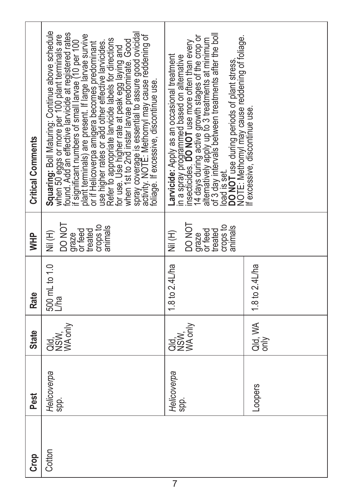| Crop   | Pest                | <b>State</b>                | Rate                  | <b>HHM</b>                                                                       | <b>Critical Comments</b>                                                                                                                                                                                                                                                                                                                                                                                                                                                                                                                                                                                                                                                                               |
|--------|---------------------|-----------------------------|-----------------------|----------------------------------------------------------------------------------|--------------------------------------------------------------------------------------------------------------------------------------------------------------------------------------------------------------------------------------------------------------------------------------------------------------------------------------------------------------------------------------------------------------------------------------------------------------------------------------------------------------------------------------------------------------------------------------------------------------------------------------------------------------------------------------------------------|
| Cotton | Helicoverpa<br>spp. | WA only<br>asi<br>BS⊠<br>OZ | 500 mL to 1.0<br>L/ha | <b>DONOT</b><br>crops to<br>anımals<br>graze<br>or feed<br>treated<br>(H)<br>Wii | Squaring: Boll Maturing: Continue above schedule<br>when 50 eggs or more per 100 plant terminals are<br>found. Add an effective larvicide at registered rates<br>if significant numbers of small larvae (10 per 100<br>spray coverage is essential to assure good ovicidal<br>activity. NOTE: Methomyl may cause reddening of<br>plant terminals) are present. If large larvae survive<br>Refer to appropriate larvicide labels for directions<br>for use. Use higher rate at peak egg laying and<br>when 1st to 2nd instar larvae predominate. Good<br>or if Helicoverpa amigera becomes predominant<br>use higher rates or add other effective larvicides.<br>oliage. If excessive, discontinue use. |
|        | Helicoverpa<br>spp. | WA only<br>asi<br>O⊠<br>OZ  | 1.8 to 2.4L/ha        | TON OC<br>crops to<br>animals<br>graze<br>or feed<br>treated<br>(H) N            | of 3 day intérvials between treatments after the boll<br>load is gut.<br>Mod is gut use during periods of plant stress.<br>NOTE: Methomyl may cause reddening of foliage.<br>14 days during active growth stages of the crop or<br>alternatively apply up to 3 treatments at minimum<br>in a spray programmed based on alternative<br>insecticides. <b>DO NOT</b> use more often than every<br>Larvicide: Apply as an occasional treatment                                                                                                                                                                                                                                                             |
|        | -oopers             | Qld, WA<br>only             | 1.8 to 2.4L/ha        |                                                                                  | fexcessive, discontinue use                                                                                                                                                                                                                                                                                                                                                                                                                                                                                                                                                                                                                                                                            |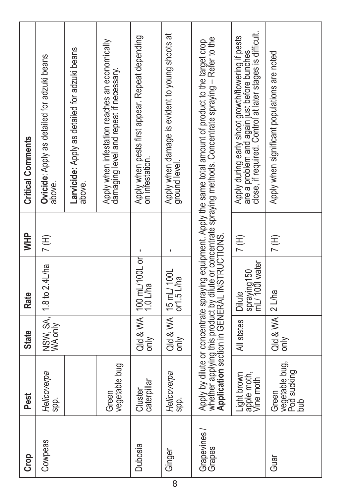| Crop                  | Pest                                              | <b>State</b>      | Rate                                       | <b>HHD</b> | <b>Critical Comments</b>                                                                                                                                                                                                                                                     |
|-----------------------|---------------------------------------------------|-------------------|--------------------------------------------|------------|------------------------------------------------------------------------------------------------------------------------------------------------------------------------------------------------------------------------------------------------------------------------------|
| Cowpeas               | Helicoverpa<br>spp.                               |                   | NSW, SA, 1.8 to 2.4L/ha<br>WA only         | 7(H)       | Ovicide: Apply as detailed for adzuki beans<br>above.                                                                                                                                                                                                                        |
|                       |                                                   |                   |                                            |            | Larvicide: Apply as detailed for adzuki beans<br>above.                                                                                                                                                                                                                      |
|                       | vegetable bug<br>Green                            |                   |                                            |            | Apply when infestation reaches an economically<br>damáging level and repeat if necessary.                                                                                                                                                                                    |
| Dubosia               | caterpillar<br>Cluster                            |                   | Qld & WA   100 mL/100L or<br>only 1.0 L/ha |            | Apply when pests first appear. Repeat depending<br>on infestation.                                                                                                                                                                                                           |
| Ginger                | Helicoverpa<br>spp.                               | only              | $Q$ ld & WA $ $ 15 mL/ 100L<br>only        |            | Apply when damage is evident to young shoots at<br>ground level.                                                                                                                                                                                                             |
| Grapevines/<br>Grapes |                                                   |                   |                                            |            | whether applying this product by dilute or concentrate spraying methods. Concentrate spraying – Refer to the<br>Application section in GENERAL INSTRUCTIONS.<br>Apply by dilute or concentrate spraying equipment. Apply the same total amount of product to the target crop |
|                       | Light brown<br>apple moth,<br>Vine moth           | All states        | spraying150<br>mL/1001 water<br>Dilute     | 7H)        | close, if required. Control at later stages is difficult.<br>Apply during early shoot growth/flowering if pests<br>are a problem and again just before bunches                                                                                                               |
| Guar                  | vegetable bug,<br>  Pod sucking<br>  bub<br>Green | Qld & WA <br>only | $2$ L/ha                                   | 7(H)       | Apply when significant populations are noted                                                                                                                                                                                                                                 |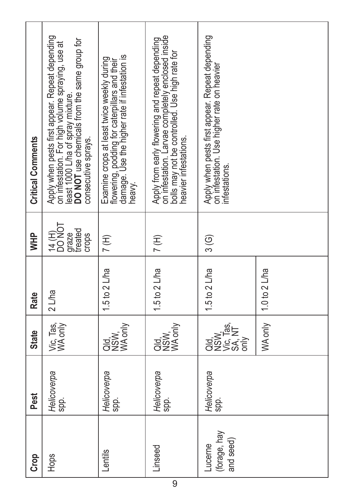| <b>Crop</b>                          | Pest                | <b>State</b>                                    | Rate            | <b>THM</b>                                   | <b>Critical Comments</b>                                                                                                                                                                                        |
|--------------------------------------|---------------------|-------------------------------------------------|-----------------|----------------------------------------------|-----------------------------------------------------------------------------------------------------------------------------------------------------------------------------------------------------------------|
| Hops                                 | Helicoverpa<br>spp. | Vic, Tas,<br>WA only                            | $2$ L/ha        | 14(H)<br>DO NOT<br>graze<br>treated<br>crops | Apply when pests first appear. Repeat depending<br>DO NOT use chemicals from the same group for<br>on infestation. For high volume spraying, use at<br>least 1000 L/ha of spray mixture.<br>consecutive sprays. |
| Lentils                              | Helicoverpa<br>spp. | WA only<br>as<br>as<br>oz                       | 1.5 to 2 $L$ ha | $7($ H)                                      | damage. Use the higher rate if infestation is<br>Examine crops at least twice weekly during<br>flowering, podding for caterpillars and their<br>heavy.                                                          |
| Linseed                              | Helicoverpa<br>spp. | <b>RUSIVE</b><br>NSW<br>WA only                 | 1.5 to $2$ L/ha | $7($ H)                                      | on infestation. Larvae completely enclosed inside<br>Apply from early flowering and repeat depending<br>bolls may not be controlled. Use high rate for<br>heavier infestations.                                 |
| (forage, hay<br>and seed)<br>Lucerne | Helicoverpa<br>spp. | <b>OSSES</b><br>ROSSES<br>OSSESS<br>$rac{y}{5}$ | 1.5 to 2 $L$ ha | $\frac{3}{6}$                                | Apply when pests first appear. Repeat depending<br>on infestation. Use higher rate on heavier<br>infestations                                                                                                   |
|                                      |                     | WA only                                         | 1.0 to 2 L/ha   |                                              |                                                                                                                                                                                                                 |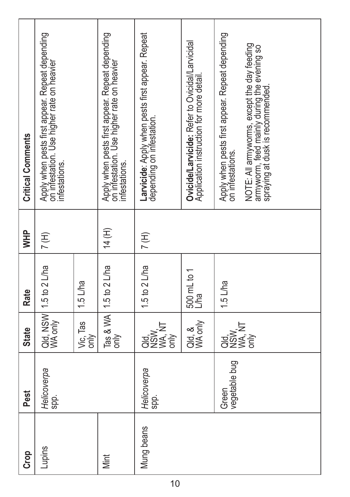| Crop       | Pest                   | <b>State</b>                    | Rate                              | WHP    | <b>Critical Comments</b>                                                                                                                                                                              |
|------------|------------------------|---------------------------------|-----------------------------------|--------|-------------------------------------------------------------------------------------------------------------------------------------------------------------------------------------------------------|
| Lupins     | Helicoverpa<br>spp.    |                                 | Qld, NSW 1.5 to 2 L/ha<br>WA only | 7(H)   | Apply when pests first appear. Repeat depending<br>on infestation. Use higher rate on heavier<br>infestations.                                                                                        |
|            |                        | Vic, Tas<br>only                | $1.5$ L/ha                        |        |                                                                                                                                                                                                       |
| Mint       |                        | only                            | Tas & WA   1.5 to 2 L/ha          | 14 (H) | Apply when pests first appear. Repeat depending<br>on infestation. Use higher rate on heavier<br>infestations.                                                                                        |
| Mung beans | Helicoverpa<br>spp.    | ਰੂਲ ਮੌਸ<br>ਰੂਲ ਵੇਖੋ<br>ਰੂਲ ਵੇਖੋ | 1.5 to 2 L/ha                     | 7(H)   | Larvicide: Apply when pests first appear. Repeat<br>depending on infestation.                                                                                                                         |
|            |                        | Qld, &<br>WA only               | 500 mL to 1<br>L/ha               |        | Ovicide/Larvicide: Refer to Ovicidal/Larvicidal<br>Application instruction for more detail                                                                                                            |
|            | vegetable bug<br>Green | ORXA<br>ORXA<br>ORXX<br>ORX     | $1.5$ L/ha                        |        | Apply when pests first appear. Repeat depending<br>NOTE: All armyworms, except the day feeding<br>armyworm, feed mainly during the evening so<br>spraying at dusk is recommended.<br>on infestations. |
|            |                        |                                 |                                   |        |                                                                                                                                                                                                       |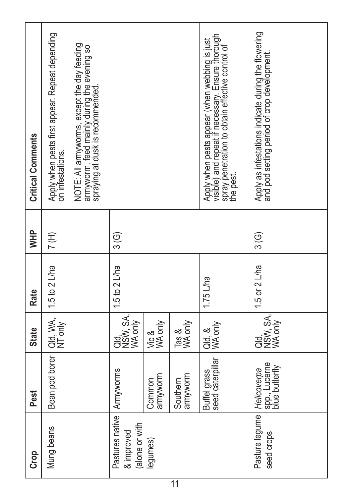| <b>Critical Comments</b> | Apply when pests first appear. Repeat depending<br>on infestations. | NOTE: All armyworms, except the day feeding<br>armyworm, feed mainly during the evening so<br>spraying at dusk is recommended. |                                                 |                    |                      | Apply when pests appear (when webbing is just<br>visible) and repeat if necessary. Ensure thorough<br>the py penetration to obtain effective control of<br>the py | Apply as infestations indicate during the flowering<br>and pod setting period of crop development. |
|--------------------------|---------------------------------------------------------------------|--------------------------------------------------------------------------------------------------------------------------------|-------------------------------------------------|--------------------|----------------------|-------------------------------------------------------------------------------------------------------------------------------------------------------------------|----------------------------------------------------------------------------------------------------|
| \<br>≷                   | 7(H)                                                                |                                                                                                                                | $\frac{3}{6}$                                   |                    |                      |                                                                                                                                                                   | 3 (G)                                                                                              |
| Rate                     | $1.5$ to $2$ L/ha                                                   |                                                                                                                                | 1.5 to $2$ L/ha                                 |                    |                      | $1.75$ L/ha                                                                                                                                                       | 1.5 or 2 L/ha                                                                                      |
| <b>State</b>             | Qld, WA,<br>NT only                                                 |                                                                                                                                | Qld,<br>NSW, SA,                                | Vic &<br>WA only   | Tas &<br>WA only     | Qld, &<br>WA only                                                                                                                                                 | Qld,<br>NSW, SA,                                                                                   |
| Pest                     | Bean pod borer                                                      |                                                                                                                                | Armyworms                                       | armyworm<br>Common | armyworm<br>Southern | seed caterpillar<br>Buffel grass                                                                                                                                  | spp., Lucerne<br>blue butterfly<br>Helicoverpa                                                     |
| Crop                     | Mung beans                                                          |                                                                                                                                | Pastures native<br>(alone or with<br>& improved | egumes)            |                      |                                                                                                                                                                   | Pasture legume<br>seed crops                                                                       |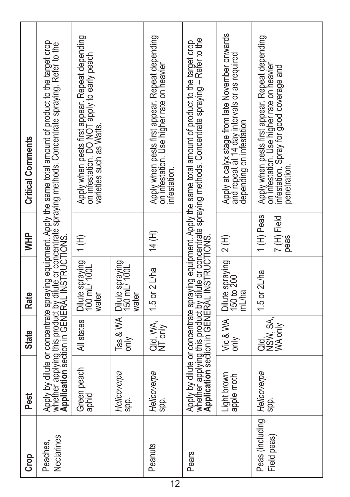| <b>Crop</b>                                  | Pest                      | <b>State</b>                | Rate                                                                           | <b>THM</b>                       | <b>Critical Comments</b>                                                                                                                                                                                                             |
|----------------------------------------------|---------------------------|-----------------------------|--------------------------------------------------------------------------------|----------------------------------|--------------------------------------------------------------------------------------------------------------------------------------------------------------------------------------------------------------------------------------|
| Nectarines<br>Peaches,                       |                           |                             |                                                                                |                                  | Apply by dilute or concentrate spraying equipment. Apply the same total amount of product to the target crop<br>Application section in rochut RAL (INSTRUCTION)<br>Application section in rochut RAL (INSTRUCTION)                   |
|                                              | Green peach<br>aphid      | All states                  | Dilute spraying<br>100 mL/ 100L<br>water                                       | 1(H)                             | Apply when pests first appear. Repeat depending<br>on infestation. DO NOT apply to early peach<br>varieties such as Watts.                                                                                                           |
|                                              | Helicoverpa<br>spp.       | Tas & WA<br>only            | Dilute spraying<br>150 mL/ 100L<br>water                                       |                                  |                                                                                                                                                                                                                                      |
| Peanuts                                      | Helicoverpa<br>spp.       | Qld, WA,<br>NT only         | 1.5 or $2$ L/ha                                                                | 14 (H)                           | Apply when pests first appear. Repeat depending<br>on infestation. Use higher rate on heavier<br>infestation.                                                                                                                        |
| Pears                                        |                           |                             |                                                                                |                                  | Apply by dilute or concentrate spraying equipment. Apply the same total amount of product to the target crop<br>whether applying this product by dilute or concentrate spraying methods. Concentrate spraying – Refer to the<br>Appl |
|                                              | Light brown<br>apple moth | Vic & WA<br>only            | Dilute spraying $\begin{bmatrix} 2 (H) \\ 150 (16 200) \end{bmatrix}$<br>mL/ha |                                  | Apply at calyx stage from late November onwards<br>and repeat at 14 day intervals or as required<br>depending on infestation                                                                                                         |
| Peas (including   Helicoverpa<br>Field peas) | spp.                      | Qld,<br>NSW, SA,<br>WA only | 1.5 or $2L$ ha                                                                 | 1(H) Peas<br>7 (H) Field<br>peas | Apply when pests first appear. Repeat depending<br>on infestation. Use higher rate on heavier<br>infestation. Spray for good coverage and<br>penetration.                                                                            |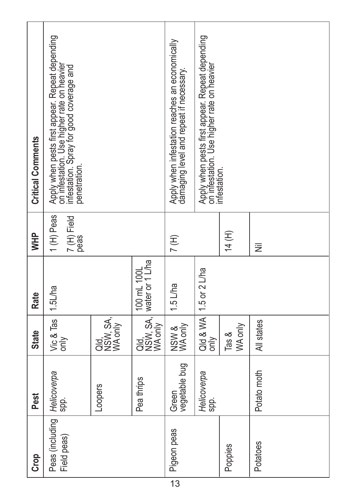| <b>Critical Comments</b> | Apply when pests first appear. Repeat depending<br>on infestation. Use higher rate on heavier<br>infestation. Spray for good coverage and<br>penetration. |                  |                                | Apply when infestation reaches an economically<br>damaging level and repeat if necessary. | Apply when pests first appear. Repeat depending<br>on infestation. Use higher rate on heavier<br>infestation. |                     |             |
|--------------------------|-----------------------------------------------------------------------------------------------------------------------------------------------------------|------------------|--------------------------------|-------------------------------------------------------------------------------------------|---------------------------------------------------------------------------------------------------------------|---------------------|-------------|
| <b>HHM</b>               | 1 (H) Peas<br>7 (H) Field<br>peas                                                                                                                         |                  |                                | $7($ H)                                                                                   |                                                                                                               | 14 (H)              | Ξ           |
| <b>Rate</b>              | 1.5L/ha                                                                                                                                                   |                  | 100 mL 100L<br>water or 1 L/ha | 1.5 L/ha                                                                                  | 1.5 or $2$ L/ha                                                                                               |                     |             |
| <b>State</b>             | Vic & Tas<br>only                                                                                                                                         | Qld,<br>NSW, SA, | Qld,<br>NSW, SA,               | NSW &<br>WA only                                                                          | Qld & WA<br>only                                                                                              | WA only<br>Tas $\&$ | All states  |
| Pest                     | Spp.                                                                                                                                                      | Loopers          | Pea thrips                     | vegetable bug<br>Green                                                                    | Helicoverpa<br>spp.                                                                                           |                     | Potato moth |
| <b>Crop</b>              | Peas (including   Helicoverpa<br>Field peas)                                                                                                              |                  |                                | Pigeon peas                                                                               |                                                                                                               | Poppies             | Potatoes    |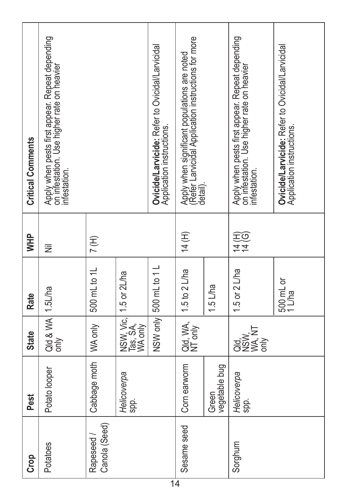| Crop                        | Pest                   | <b>State</b>                                       | Rate                  | <b>AHM</b>     | <b>Critical Comments</b>                                                                                        |
|-----------------------------|------------------------|----------------------------------------------------|-----------------------|----------------|-----------------------------------------------------------------------------------------------------------------|
| Potatoes                    | Potato looper          | Qld & WA 1.5L/ha<br>only                           |                       | Ξ              | Apply when pests first appear. Repeat depending<br>on infestation. Use higher rate on heavier<br>infestation.   |
| Canola (Seed)<br>Rapeseed / | Cabbage moth           | WA only                                            | 500 mL to 1L          | 7(H)           |                                                                                                                 |
|                             | Helicoverpa<br>spp.    | NSW, Vic.<br>Tas, SA,<br>WA only                   | 1.5 or 2L/ha          |                |                                                                                                                 |
|                             |                        |                                                    | NSW only 500 mL to 1L |                | <b>Ovicide/Larvicide:</b> Refer to Ovicidal/Larvicidal<br>Application instructions.                             |
| Sesame seed                 | Corn earworm           | Qld, WA,<br>NT only                                | 1.5 to 2 L/ha         | 14 (H)         | Apply when significant populations are noted<br>(Refer Larvicidal Application instructions for more<br>detail). |
|                             | vegetable bug<br>Green |                                                    | 1.5 L/ha              |                |                                                                                                                 |
| Sorghum                     | Helicoverpa<br>spp.    | <b>TAN AT</b><br><b>DOMA</b><br><b>OZS</b><br>only | 1.5 or 2 L/ha         | 14<br>10<br>10 | Apply when pests first appear. Repeat depending<br>on infestation. Use higher rate on heavier<br>infestation.   |
|                             |                        |                                                    | 500 mL or<br>1 L/ha   |                | Ovicide/Larvicide: Refer to Ovicidal/Larvicidal<br>Application instructions.                                    |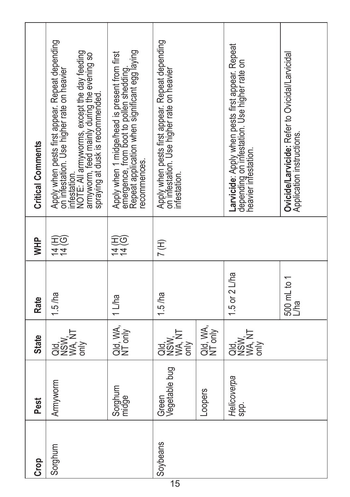| <b>Critical Comments</b> | Apply when pests first appear. Repeat depending<br>on infestation. Use higher rate on heavier<br>NOTE: All armyworms, except the day feeding<br>armyworm, feed mainly during the evening so<br>spraying at dusk is recommended.<br>infestation. | Apply when 1 midge/head is present from first<br>emergence, from boot to pollen shedding.<br>Repeat application when significant egg laying<br>ecommences. | Apply when pests first appear. Repeat depending<br>on infestation. Use higher rate on heavier<br>infestation. |                     | Larvicide: Apply when pests first appear. Repeat<br>depending on infestation. Use higher rate on<br>heavier infestation. | Ovicide/Larvicide: Refer to Ovicidal/Larvicidal<br>Application instructions. |
|--------------------------|-------------------------------------------------------------------------------------------------------------------------------------------------------------------------------------------------------------------------------------------------|------------------------------------------------------------------------------------------------------------------------------------------------------------|---------------------------------------------------------------------------------------------------------------|---------------------|--------------------------------------------------------------------------------------------------------------------------|------------------------------------------------------------------------------|
| <b>HHD</b>               | な<br>石の                                                                                                                                                                                                                                         | コ<br>王<br>王<br>三                                                                                                                                           | 7H)                                                                                                           |                     |                                                                                                                          |                                                                              |
| Rate                     | $1.5$ /ha                                                                                                                                                                                                                                       | 1 L/ha                                                                                                                                                     | $1.5$ /ha                                                                                                     |                     | 1.5 or 2 L/ha                                                                                                            | 500 mL to 1<br>L/ha                                                          |
| <b>State</b>             | asiya<br>Sa≷<br>Sa                                                                                                                                                                                                                              | Qld, WA,<br>NT only                                                                                                                                        | ਤ<br>ਰੱਖਣ<br>ਰੱਖਣ<br>only                                                                                     | Qld, WA,<br>NT only | ち<br>त्र<br>सर्वे<br>सर्वे हो                                                                                            |                                                                              |
| Pest                     | Armyworm                                                                                                                                                                                                                                        | Sorghum<br>midge                                                                                                                                           | Vegetable bug<br>Green                                                                                        | <b>Loopers</b>      | Helicoverpa<br>spp.                                                                                                      |                                                                              |
| ICrop                    | Sorghum                                                                                                                                                                                                                                         |                                                                                                                                                            | Soybeans                                                                                                      |                     |                                                                                                                          |                                                                              |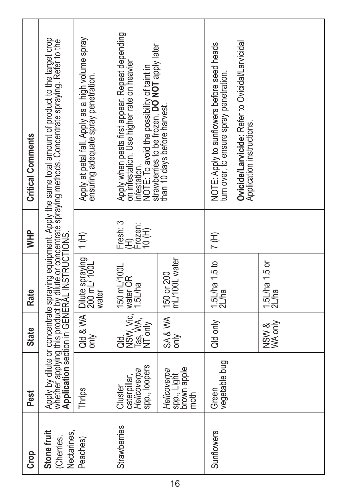| Crop                                     | Pest                                                    | <b>State</b>                             | Rate                                     | <b>WHP</b>                           | <b>Critical Comments</b>                                                                                                                                                                                                                   |
|------------------------------------------|---------------------------------------------------------|------------------------------------------|------------------------------------------|--------------------------------------|--------------------------------------------------------------------------------------------------------------------------------------------------------------------------------------------------------------------------------------------|
| Stone fruit<br>Nectarines,<br>(Cherries, |                                                         |                                          |                                          |                                      | Apply by dilute or concentrate spraying equipment. Apply the same total amount of product to the target crop<br>whether applying this product by dilute or concentrate spraying methods. Concentrate spraying. Refer to the<br><b>Appl</b> |
| Peaches)                                 | Thrips                                                  | Qld & WA<br>only                         | Dilute spraying<br>200 mL/ 100L<br>water | $1($ H)                              | Apply at petal fall. Apply as a high volume spray<br>ensuring adequate spray penetration.                                                                                                                                                  |
| Strawberries                             | spp., loopers<br>Helicoverpa<br>caterpillar,<br>Cluster | Qld,<br>NSW, Vic,<br>Tas, WA,<br>NT only | 150 mL/100L<br>water OR<br>1.5L/ha       | Fresh: 3<br>ELPO<br>FLPO<br>10<br>10 | Apply when pests first appear. Repeat depending<br>infestation.<br>NOTE: To avoid the possibility of taint in<br>strawberries to be frozen, DO NOT apply later<br>on infestation. Use higher rate on heavier                               |
|                                          | brown apple<br>Helicoverpa<br>spp., Light<br>moth       | SA&WA<br>only                            | 150 or 200<br>mL/100L water              |                                      | than 10 days before harvest.                                                                                                                                                                                                               |
| Sunflowers                               | vegetable bug<br>Green                                  | Qld only                                 | 1.5L/ha 1.5 to<br>2L/ha                  | $7($ H)                              | NOTE: Apply to sunflowers before seed heads<br>turn over, to ensure spray penetration.                                                                                                                                                     |
|                                          |                                                         |                                          |                                          |                                      | Ovicide/Larvicide: Refer to Ovicidal/Larvicidal<br>Application instructions.                                                                                                                                                               |
|                                          |                                                         | NSW &<br>WA only                         | 1.5L/ha 1.5 or<br>2L/ha                  |                                      |                                                                                                                                                                                                                                            |
|                                          |                                                         |                                          |                                          |                                      |                                                                                                                                                                                                                                            |
|                                          |                                                         |                                          |                                          |                                      |                                                                                                                                                                                                                                            |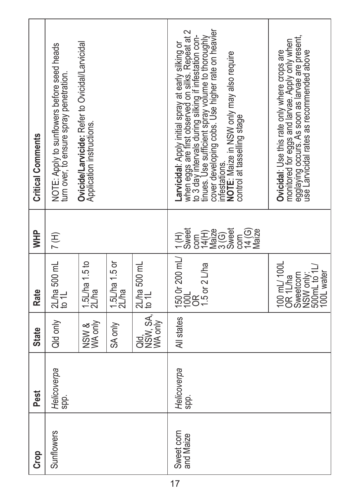| Crop                    | Pest                | <b>State</b>     | Rate                                                                                    | ÌМР                                                          | <b>Critical Comments</b>                                                                                                                                                                                                                                                                                       |
|-------------------------|---------------------|------------------|-----------------------------------------------------------------------------------------|--------------------------------------------------------------|----------------------------------------------------------------------------------------------------------------------------------------------------------------------------------------------------------------------------------------------------------------------------------------------------------------|
| Sunflowers              | Helicoverpa<br>spp. | Qild only        | $2$ L/ha 500 mL<br>to 1L                                                                | 7H)                                                          | NOTE: Apply to sunflowers before seed heads<br>turn over, to ensure spray penetration.                                                                                                                                                                                                                         |
|                         |                     | NSW &<br>WA only | $1.5$ L/ha $1.5$ to<br>2L/ha                                                            |                                                              | Ovicide/Larvicide: Refer to Ovicidal/Larvicidal<br>Application instructions.                                                                                                                                                                                                                                   |
|                         |                     | SA only          | 1.5L/ha 1.5 or<br>2L/ha                                                                 |                                                              |                                                                                                                                                                                                                                                                                                                |
|                         |                     | Qld,<br>NSW, SA, | 2L/ha 500 mL<br>to 1L                                                                   |                                                              |                                                                                                                                                                                                                                                                                                                |
| Sweet corn<br>and Maize | Helicoverpa<br>spp. | All states       | $1500r200mV$<br>$100L$<br>.5 or 2 L/ha                                                  | $\widehat{\Xi}$<br>Sweet<br>EENO<br>STROS<br>84(G)<br>Vlaize | cover developing cobs. Use higher rate on heavier<br>Larvicidal: Apply initial spray at early silking or<br>when eggs are first observed on silks. Repeat at 2<br>times. Use sufficient spray volume to thoroughly<br>infestations.<br>NOTE: Maize in NSW only may also require<br>control at tasselling stage |
|                         |                     |                  | 100 mL/ 100L<br>OR 1L/ha<br>NSW only:<br>500mL to 1L/<br><b>IOOL</b> water<br>Sweetcorn |                                                              | egglaying occurs. As soon as larvae are present,<br>use Larvicidal rates as recommended above<br>monitored for eggs and larvae. Apply only when<br>Ovicidal: Use this rate only where crops are                                                                                                                |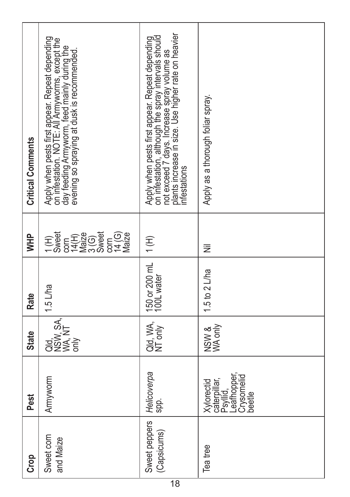| <b>Critical Comments</b> | Apply when pests first appear. Repeat depending<br>on intestation. NOTE: All Armyworm's, except the<br>evening so spraying at dusk is recommended. | Apply when pests first appear. Repeat depending<br>on infestation, although the spray intervals should<br>not exceed 7 days. Increase spray volume as<br>infestations | Apply as a thorough foliar spray.                                             |
|--------------------------|----------------------------------------------------------------------------------------------------------------------------------------------------|-----------------------------------------------------------------------------------------------------------------------------------------------------------------------|-------------------------------------------------------------------------------|
| <b>AHM</b>               | <b>EENGIN</b><br>STRIGI<br>$\begin{array}{c}\n\text{1(H)} \\ \text{Sweet}\n\end{array}$<br>com<br>Vaize<br>Maize                                   | $\overline{1}$ (H)                                                                                                                                                    | I                                                                             |
| Rate                     | 1.5 L/ha                                                                                                                                           | 150 or 200 mL<br>100L water                                                                                                                                           | 1.5 to 2 L/ha                                                                 |
| <b>State</b>             | Qld,<br>NSW, SA.<br>WA, NT<br>only                                                                                                                 | Qld, WA,<br>NT only                                                                                                                                                   | NSW &<br>WA only                                                              |
| Pest                     | Armyworm                                                                                                                                           | Helicoverpa<br>spp.                                                                                                                                                   | căterpillar,<br>Psyllid,<br>Leafhopper,<br>Crysomelid<br>Xylorectid<br>beetle |
| Crop                     | Sweet corn<br>and Maize                                                                                                                            | Sweet peppers<br>(Capsicums)                                                                                                                                          | Tea tree                                                                      |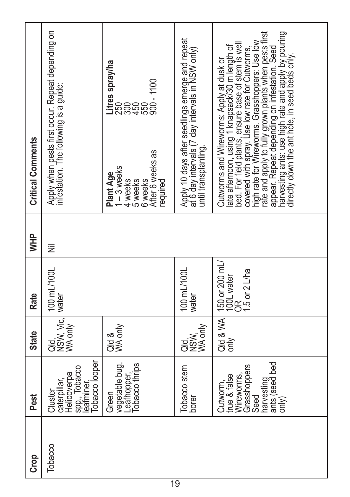| <b>Critical Comments</b> | Apply when pests first occur. Repeat depending on<br>infestation. The following is a guide: | Litres spray/ha<br>After 6 weeks as<br>$1 - 3$ weeks<br>Plant Age<br>4 weeks<br>5 weeks<br>6 weeks<br>required | Apply 10 days after seedlings emerge and repeat<br>at 6 day intervals (7 day intervals in NSW only)<br>until transplanting | rate and apply to fully grown plants when pests first<br>appear. Repeat depending on intestation. Seed<br>tirectly down the ant hole, in seed beds only pouring<br>directly down the ant hole, in seed beds only.<br>late afternoon, using 1 knapsack/30 m length of<br>beed. For field plants, ensure base of stem is well<br>beed. For field plants, ensure base of stem is well<br>high rate for Wirewoms. Grasshoppers: Use low<br>Cutworms and Wireworms: Apply at dusk or |
|--------------------------|---------------------------------------------------------------------------------------------|----------------------------------------------------------------------------------------------------------------|----------------------------------------------------------------------------------------------------------------------------|---------------------------------------------------------------------------------------------------------------------------------------------------------------------------------------------------------------------------------------------------------------------------------------------------------------------------------------------------------------------------------------------------------------------------------------------------------------------------------|
| <b>WHP</b>               | 芝                                                                                           |                                                                                                                |                                                                                                                            |                                                                                                                                                                                                                                                                                                                                                                                                                                                                                 |
| Rate                     | 100 mL/100L<br>water                                                                        |                                                                                                                | 100 mL/100L<br>water                                                                                                       | 150 or 200 mL/<br>100L water<br>OR<br>5 or 2 L/ha                                                                                                                                                                                                                                                                                                                                                                                                                               |
| <b>State</b>             | Qld,<br>NSW, Vic,                                                                           | Qld &<br>VKA only                                                                                              | WA only<br>assi<br>assi                                                                                                    | Qld & WA<br>only                                                                                                                                                                                                                                                                                                                                                                                                                                                                |
| Pest                     | Tobacco looper<br>spp., Tobacco<br>leafminer,<br>Helicoverpa<br>caterpillar,<br>Cluster     | vegetable bug,<br>Leafhopper,<br>Tobacco thrips<br>Green                                                       | Tobacco stem<br>borer                                                                                                      | ants (seed bed<br>only)<br>Grasshoppers<br>Wireworms,<br>true & false<br>harvesting<br>Cutworm,<br>Seed                                                                                                                                                                                                                                                                                                                                                                         |
| Crop                     | Tobacco                                                                                     |                                                                                                                |                                                                                                                            |                                                                                                                                                                                                                                                                                                                                                                                                                                                                                 |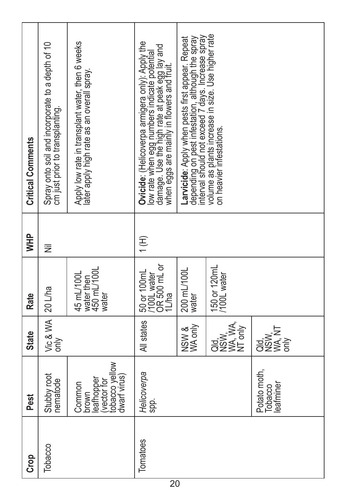| <b>Critical Comments</b> | Spray onto soil and incorporate to a depth of 10<br>cm just prior to transplanting. | Apply low rate in transplant water, then 6 weeks<br>ater apply high rate as an overall spray. | Dvicide: (Helicoverpa armigera only): Apply the<br>low rate when egg numbers indicaté poténtial<br>damage. Use the high rate at peak egg lay and<br>when eggs are mainly in flowers and fruit. | nterval should not exceed 7 days. Increase spray<br>depending on pest infestation, although the spray<br>Larvicide: Apply when pests first appear. Repeat | volume as plants increase in size. Use higher raté<br>on heavier infestations. |                                               |
|--------------------------|-------------------------------------------------------------------------------------|-----------------------------------------------------------------------------------------------|------------------------------------------------------------------------------------------------------------------------------------------------------------------------------------------------|-----------------------------------------------------------------------------------------------------------------------------------------------------------|--------------------------------------------------------------------------------|-----------------------------------------------|
| <b>AHM</b>               | Ξ                                                                                   |                                                                                               | (H)                                                                                                                                                                                            |                                                                                                                                                           |                                                                                |                                               |
| Rate                     | $20$ L/ha                                                                           | water then<br>450 mL/100L<br>45 mL/100L<br>water                                              | 50 or 100mL<br>  /100L water<br>  OR 500 mL or<br>Lha                                                                                                                                          | 200 mL/100L<br>water                                                                                                                                      | 150 or 120mL<br>100L water                                                     |                                               |
| <b>State</b>             | Vic & WA<br>only                                                                    |                                                                                               | All states                                                                                                                                                                                     | NSW &<br>WA only                                                                                                                                          | <b>Qua<br/>NSW WAS</b><br>NT only<br>NT only                                   | <b>DUSIN'NT</b><br>NSWA, NT<br>WA, NT<br>only |
| Pest                     | Stubby root<br>nematode                                                             | tobacco yellow<br>dwarf virus)<br>eafhopper<br>vector for<br>Common<br>brown                  | Helicoverpa<br>spp.                                                                                                                                                                            |                                                                                                                                                           |                                                                                | Potato moth,<br>eafminer<br>Tobacco           |
| Crop                     | Tobacco                                                                             |                                                                                               | Tomatoes                                                                                                                                                                                       |                                                                                                                                                           |                                                                                |                                               |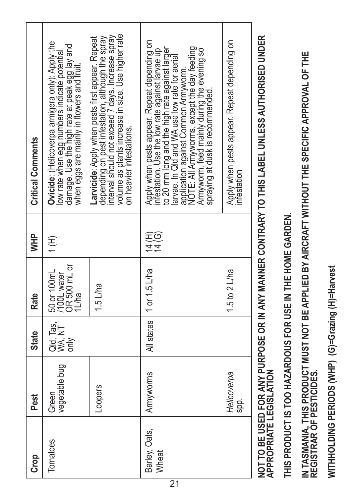| <b>Grop</b>            | Pest                   | <b>State</b>                  | Rate                                                   | <b>WHP</b>     | <b>Critical Comments</b>                                                                                                                                                                                                                                                                                                                                                     |
|------------------------|------------------------|-------------------------------|--------------------------------------------------------|----------------|------------------------------------------------------------------------------------------------------------------------------------------------------------------------------------------------------------------------------------------------------------------------------------------------------------------------------------------------------------------------------|
| Tomatoes               | vegetable bug<br>Green | Qld, Tas,  <br>WA, NT<br>only | 50 or 100mL<br> /100L water<br>  OR 500 mL or<br>iL/ha | (H)            | Ovicide: (Helicoverpa armigera only): Apply the<br>low rate when egg numbers indicate potential<br>damage. Use the high rate at peak egg lay and<br>when eggs are mainly in flowers and fruit.                                                                                                                                                                               |
|                        | Loopers                |                               | $1.5$ L/ha                                             |                | interval should not exceed 7 days. Increase spray<br>volume as plants increase in size. Use higher rate<br>depending on pest infestation, although the spray<br>Larvicide: Apply when pests first appear. Repeat<br>on heavier infestations.                                                                                                                                 |
| Barley, Oats,<br>Wheat | Armyworms              |                               | All states   1 or 1.5 L/ha                             | 14 (6)<br>14 원 | Apply when pests appear. Repeat depending on<br>NOTE: All Armyworms, except the day feeding<br>Armyworm, feed mainly during the evening so<br>to 20 mm long and the high rate against larger<br>infestation. Use the low rate against larvae up<br>larvae. In Qld and WA use low rate for aerial<br>application against Common Armyworm.<br>spraying at dusk is recommended. |
|                        | Helicoverpa<br>Sp.     |                               | 1.5 to 2 $L$ ha                                        |                | Apply when pests appear. Repeat depending on<br>infestation                                                                                                                                                                                                                                                                                                                  |
|                        |                        |                               |                                                        |                | NOT TO DE HODA ANY DHODOCE OD IN ANY MANNED ONEDA DY TO THO I ADEI HAN FOO ALITHODICED HADED                                                                                                                                                                                                                                                                                 |

**NOT TO BE USED FOR ANY PURPOSE OR IN ANY MANNER CONTRARY TO THIS LABEL UNLESS AUTHORISED UNDER**  NOI 10 BE USED FOR ANY PURPOSE OR IN ANY MANNER CONTRARY TO THIS LABEL UNLESS AUTHORISED UNDER<br>APPROPRIATE LEGISLATION **APPROPRIATE LEGISLATION**

THIS PRODUCT IS TOO HAZARDOUS FOR USE IN THE HOME GARDEN. **THIS PRODUCT IS TOO HAZARDOUS FOR USE IN THE HOME GARDEN.**

IN TASMANIA, THIS PRODUCT MUST NOT BE APPLIED BY AIRCRAFT WITHOUT THE SPECIFIC APPROVAL OF THE<br>REGISTRAR OF PESTICIDES. **IN TASMANIA, THIS PRODUCT MUST NOT BE APPLIED BY AIRCRAFT WITHOUT THE SPECIFIC APPROVAL OF THE REGISTRAR OF PESTICIDES.**

WITHHOLDING PERIODS (O)=Grazing (H)=Harvest **WITHHOLDING PERIODS (WHP) (G)=Grazing (H)=Harvest**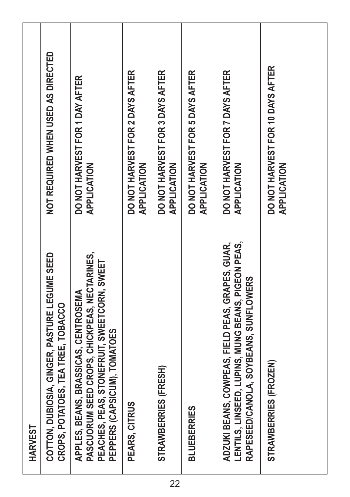|         | NOT REQUIRED WHEN USED AS DIRECTED                                                  | DO NOT HARVEST FOR 1 DAY AFTER<br>APPLICATION                                                                                                                       | DO NOT HARVEST FOR 2 DAYS AFTER<br>APPLICATION | DO NOT HARVEST FOR 3 DAYS AFTER<br>APPLICATION | DO NOT HARVEST FOR 5 DAYS AFTER<br>APPLICATION | DO NOT HARVEST FOR 7 DAYS AFTER<br>APPLICATION                                                                                                  | DO NOT HARVEST FOR 10 DAYS AFTER<br>APPLICATION |
|---------|-------------------------------------------------------------------------------------|---------------------------------------------------------------------------------------------------------------------------------------------------------------------|------------------------------------------------|------------------------------------------------|------------------------------------------------|-------------------------------------------------------------------------------------------------------------------------------------------------|-------------------------------------------------|
| HARVEST | COTTON, DUBIOSIA, GINGER, PASTURE LEGUME SEED<br>CROPS, POTATOES, TEA TREE, TOBACCO | PASCUORUM SEED CROPS, CHICKPEAS, NECTARINES,<br>PEACHES, PEAS, STONEFRUIT, SWEETCORN, SWEET<br>APPLES, BEANS, BRASSICAS, CENTROSEMA<br>PEPPERS (CAPSICUM), TOMATOES | PEARS, CITRUS                                  | STRAWBERRIES (FRESH)                           | <b>BLUEBERRIES</b>                             | LENTILS, LINSEED, LUPINS, MUNG BEANS, PIGEON PEAS,<br>ADZUKI BEANS, COWPEAS, FIELD PEAS, GRAPES, GUAR,<br>RAPESEED/CANOLA, SOYBEANS, SUNFLOWERS | STRAWBERRIES (FROZEN)                           |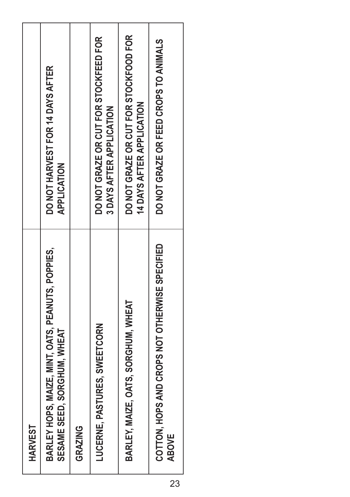| <b>HARVEST</b>                                                                   |                                                                    |
|----------------------------------------------------------------------------------|--------------------------------------------------------------------|
| BARLEY HOPS, MAIZE, MINT, OATS, PEANUTS, POPPIES,<br>SESAME SEED, SORGHUM, WHEAT | DO NOT HARVEST FOR 14 DAYS AFTER<br><b>APPLICATION</b>             |
| GRAZING                                                                          |                                                                    |
| LUCERNE, PASTURES, SWEETCORN                                                     | DO NOT GRAZE OR CUT FOR STOCKFEED FOR<br>3 DAYS AFTER APPLICATION  |
| BARLEY, MAIZE, OATS, SORGHUM, WHEAT                                              | DO NOT GRAZE OR CUT FOR STOCKFOOD FOR<br>14 DAYS AFTER APPLICATION |
| COTTON, HOPS AND CROPS NOT OTHERWISE SPECIFIED<br><b>ABOVE</b>                   | DO NOT GRAZE OR FEED CROPS TO ANIMALS                              |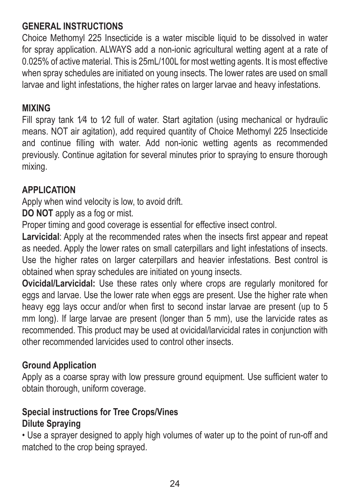#### **GENERAL INSTRUCTIONS**

Choice Methomyl 225 Insecticide is a water miscible liquid to be dissolved in water for spray application. ALWAYS add a non-ionic agricultural wetting agent at a rate of 0.025% of active material. This is 25mL/100L for most wetting agents. It is most effective when spray schedules are initiated on young insects. The lower rates are used on small larvae and light infestations, the higher rates on larger larvae and heavy infestations.

#### **MIXING**

Fill spray tank 1/4 to 1/2 full of water. Start agitation (using mechanical or hydraulic means. NOT air agitation), add required quantity of Choice Methomyl 225 Insecticide and continue filling with water. Add non-ionic wetting agents as recommended previously. Continue agitation for several minutes prior to spraying to ensure thorough mixing.

#### **APPLICATION**

Apply when wind velocity is low, to avoid drift.

**DO NOT** apply as a fog or mist.

Proper timing and good coverage is essential for effective insect control.

Larvicidal: Apply at the recommended rates when the insects first appear and repeat as needed. Apply the lower rates on small caterpillars and light infestations of insects. Use the higher rates on larger caterpillars and heavier infestations. Best control is obtained when spray schedules are initiated on young insects.

**Ovicidal/Larvicidal:** Use these rates only where crops are regularly monitored for eggs and larvae. Use the lower rate when eggs are present. Use the higher rate when heavy egg lays occur and/or when first to second instar larvae are present (up to 5 mm long). If large larvae are present (longer than 5 mm), use the larvicide rates as recommended. This product may be used at ovicidal/larvicidal rates in conjunction with other recommended larvicides used to control other insects.

#### **Ground Application**

Apply as a coarse spray with low pressure ground equipment. Use sufficient water to obtain thorough, uniform coverage.

#### **Special instructions for Tree Crops/Vines**

#### **Dilute Spraying**

• Use a sprayer designed to apply high volumes of water up to the point of run-off and matched to the crop being sprayed.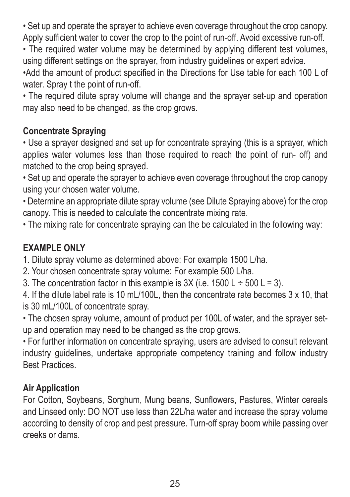• Set up and operate the sprayer to achieve even coverage throughout the crop canopy. Apply sufficient water to cover the crop to the point of run-off. Avoid excessive run-off.

• The required water volume may be determined by applying different test volumes. using different settings on the sprayer, from industry guidelines or expert advice.

•Add the amount of product specified in the Directions for Use table for each 100 L of water. Spray t the point of run-off.

• The required dilute spray volume will change and the sprayer set-up and operation may also need to be changed, as the crop grows.

#### **Concentrate Spraying**

• Use a sprayer designed and set up for concentrate spraying (this is a sprayer, which applies water volumes less than those required to reach the point of run- off) and matched to the crop being sprayed.

• Set up and operate the sprayer to achieve even coverage throughout the crop canopy using your chosen water volume.

• Determine an appropriate dilute spray volume (see Dilute Spraying above) for the crop canopy. This is needed to calculate the concentrate mixing rate.

• The mixing rate for concentrate spraying can the be calculated in the following way:

#### **EXAMPLE ONLY**

1. Dilute spray volume as determined above: For example 1500 L/ha.

2. Your chosen concentrate spray volume: For example 500 L/ha.

3. The concentration factor in this example is  $3X$  (i.e.  $1500 \, L = 500 \, L = 3$ ).

4. If the dilute label rate is 10 mL/100L, then the concentrate rate becomes 3 x 10, that is 30 mL/100L of concentrate spray.

• The chosen spray volume, amount of product per 100L of water, and the sprayer setup and operation may need to be changed as the crop grows.

• For further information on concentrate spraying, users are advised to consult relevant industry guidelines, undertake appropriate competency training and follow industry Best Practices.

#### **Air Application**

For Cotton, Soybeans, Sorghum, Mung beans, Sunflowers, Pastures, Winter cereals and Linseed only: DO NOT use less than 22L/ha water and increase the spray volume according to density of crop and pest pressure. Turn-off spray boom while passing over creeks or dams.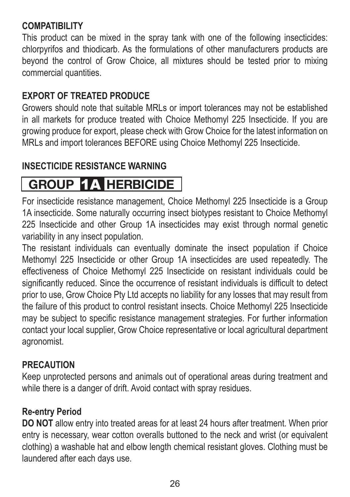#### **COMPATIBILITY**

This product can be mixed in the spray tank with one of the following insecticides: chlorpyrifos and thiodicarb. As the formulations of other manufacturers products are beyond the control of Grow Choice, all mixtures should be tested prior to mixing commercial quantities.

#### **EXPORT OF TREATED PRODUCE**

Growers should note that suitable MRLs or import tolerances may not be established in all markets for produce treated with Choice Methomyl 225 Insecticide. If you are growing produce for export, please check with Grow Choice for the latest information on MRLs and import tolerances BEFORE using Choice Methomyl 225 Insecticide.

#### **INSECTICIDE RESISTANCE WARNING**

## **GROUP** 1A **HERBICIDE**

For insecticide resistance management, Choice Methomyl 225 Insecticide is a Group 1A insecticide. Some naturally occurring insect biotypes resistant to Choice Methomyl 225 Insecticide and other Group 1A insecticides may exist through normal genetic variability in any insect population.

The resistant individuals can eventually dominate the insect population if Choice Methomyl 225 Insecticide or other Group 1A insecticides are used repeatedly. The effectiveness of Choice Methomyl 225 Insecticide on resistant individuals could be significantly reduced. Since the occurrence of resistant individuals is difficult to detect prior to use. Grow Choice Pty Ltd accepts no liability for any losses that may result from the failure of this product to control resistant insects. Choice Methomyl 225 Insecticide may be subject to specific resistance management strategies. For further information contact your local supplier, Grow Choice representative or local agricultural department agronomist.

#### **PRECAUTION**

Keep unprotected persons and animals out of operational areas during treatment and while there is a danger of drift. Avoid contact with spray residues.

#### **Re-entry Period**

**DO NOT** allow entry into treated areas for at least 24 hours after treatment. When prior entry is necessary, wear cotton overalls buttoned to the neck and wrist (or equivalent clothing) a washable hat and elbow length chemical resistant gloves. Clothing must be laundered after each days use.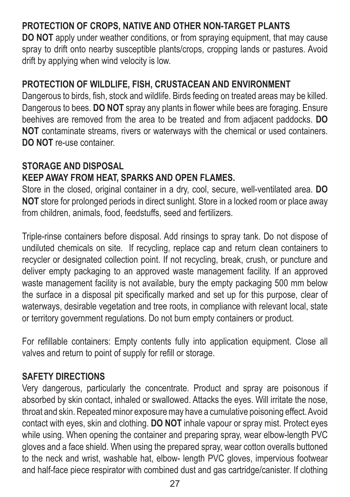#### **PROTECTION OF CROPS, NATIVE AND OTHER NON-TARGET PLANTS**

**DO NOT** apply under weather conditions, or from spraying equipment, that may cause spray to drift onto nearby susceptible plants/crops, cropping lands or pastures. Avoid drift by applying when wind velocity is low.

#### **PROTECTION OF WILDLIFE, FISH, CRUSTACEAN AND ENVIRONMENT**

Dangerous to birds, fish, stock and wildlife. Birds feeding on treated areas may be killed. Dangerous to bees. **DO NOT** spray any plants in flower while bees are foraging. Ensure beehives are removed from the area to be treated and from adjacent paddocks. **DO NOT** contaminate streams, rivers or waterways with the chemical or used containers. **DO NOT** re-use container.

#### **STORAGE AND DISPOSAL KEEP AWAY FROM HEAT, SPARKS AND OPEN FLAMES.**

Store in the closed, original container in a dry, cool, secure, well-ventilated area. **DO NOT** store for prolonged periods in direct sunlight. Store in a locked room or place away from children, animals, food, feedstuffs, seed and fertilizers.

Triple-rinse containers before disposal. Add rinsings to spray tank. Do not dispose of undiluted chemicals on site. If recycling, replace cap and return clean containers to recycler or designated collection point. If not recycling, break, crush, or puncture and deliver empty packaging to an approved waste management facility. If an approved waste management facility is not available, bury the empty packaging 500 mm below the surface in a disposal pit specifically marked and set up for this purpose, clear of waterways, desirable vegetation and tree roots, in compliance with relevant local, state or territory government regulations. Do not burn empty containers or product.

For refillable containers: Empty contents fully into application equipment. Close all valves and return to point of supply for refill or storage.

#### **SAFETY DIRECTIONS**

Very dangerous, particularly the concentrate. Product and spray are poisonous if absorbed by skin contact, inhaled or swallowed. Attacks the eyes. Will irritate the nose, throat and skin. Repeated minor exposure may have a cumulative poisoning effect. Avoid contact with eyes, skin and clothing. **DO NOT** inhale vapour or spray mist. Protect eyes while using. When opening the container and preparing spray, wear elbow-length PVC gloves and a face shield. When using the prepared spray, wear cotton overalls buttoned to the neck and wrist, washable hat, elbow- length PVC gloves, impervious footwear and half-face piece respirator with combined dust and gas cartridge/canister. If clothing